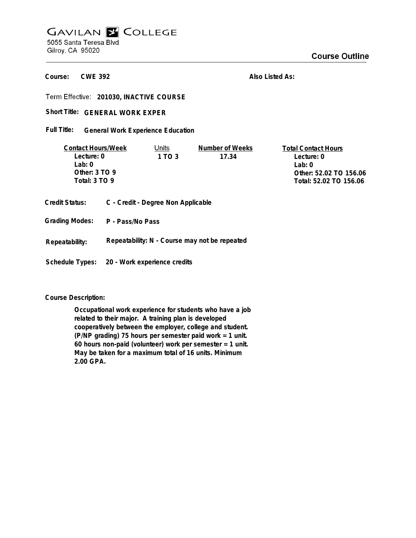## **GAVILAN E COLLEGE** 5055 Santa Teresa Blvd Gilroy, CA 95020

**Course Outline** 

**CWE 392 Course:**

**Also Listed As:**

**201030, INACTIVE COURSE**

Short Title: GENERAL WORK EXPER

**General Work Experience Education Full Title:**

| <b>Contact Hours/Week</b> | Units  | Number of Weeks | <b>Total Contact Hours</b> |
|---------------------------|--------|-----------------|----------------------------|
| Lecture: 0                | 1 TO 3 | 17.34           | Lecture: 0                 |
| l ab: 0                   |        |                 | lah û                      |
| Other: $3 \text{ TO } 9$  |        |                 | Other: 52.02 TO 156.06     |
| Total: 3 TO 9             |        |                 | Total: 52.02 TO 156.06     |
|                           |        |                 |                            |

| Credit Status: |  | C - Credit - Degree Non Applicable |  |
|----------------|--|------------------------------------|--|
|----------------|--|------------------------------------|--|

**Grading Modes: P - Pass/No Pass**

**Repeatability: N - Course may not be repeated Repeatability:**

**Schedule Types: 20 - Work experience credits**

**Course Description:**

**Occupational work experience for students who have a job related to their major. A training plan is developed cooperatively between the employer, college and student. (P/NP grading) 75 hours per semester paid work = 1 unit. 60 hours non-paid (volunteer) work per semester = 1 unit. May be taken for a maximum total of 16 units. Minimum 2.00 GPA.**